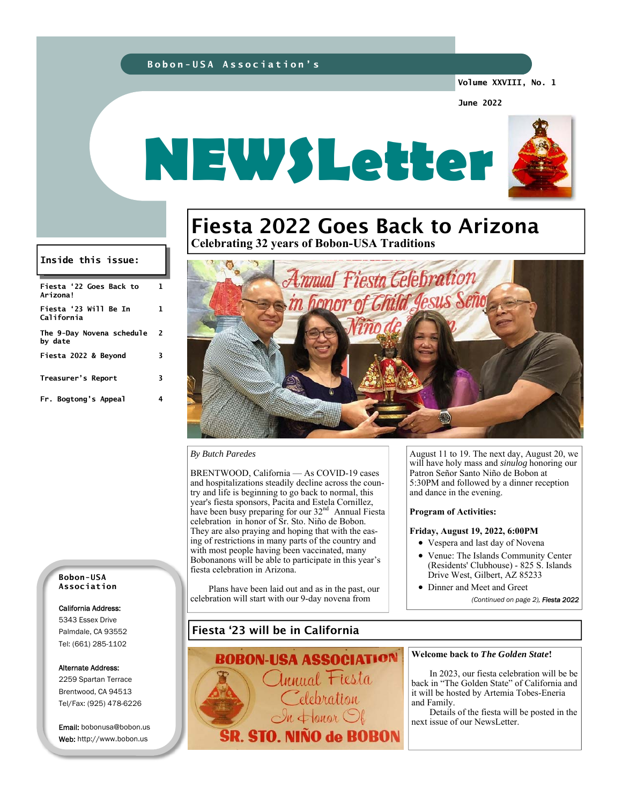## **Bobon-USA Association's**

**Volume XXVIII, No. 1** 

**June 2022** 



# Fiesta 2022 Goes Back to Arizona **Celebrating 32 years of Bobon-USA Traditions**

**Inside this issue:** 

| Fiesta '22 Goes Back to<br>Arizona!  | L  |
|--------------------------------------|----|
| Fiesta '23 Will Be In<br>California  | 1. |
| The 9-Day Novena schedule<br>by date | 2  |
| Fiesta 2022 & Beyond                 | 3  |
| Treasurer's Report                   | 3  |
| Fr. Bogtong's Appeal                 |    |



## *By Butch Paredes*

BRENTWOOD, California — As COVID-19 cases and hospitalizations steadily decline across the country and life is beginning to go back to normal, this year's fiesta sponsors, Pacita and Estela Cornillez, have been busy preparing for our 32<sup>nd</sup> Annual Fiesta celebration in honor of Sr. Sto. Niño de Bobon. They are also praying and hoping that with the easing of restrictions in many parts of the country and with most people having been vaccinated, many Bobonanons will be able to participate in this year's fiesta celebration in Arizona.

 Plans have been laid out and as in the past, our celebration will start with our 9-day novena from

August 11 to 19. The next day, August 20, we will have holy mass and *sinulog* honoring our Patron Señor Santo Niño de Bobon at 5:30PM and followed by a dinner reception and dance in the evening.

#### **Program of Activities:**

## **Friday, August 19, 2022, 6:00PM**

- Vespera and last day of Novena
- Venue: The Islands Community Center (Residents' Clubhouse) - 825 S. Islands Drive West, Gilbert, AZ 85233
- Dinner and Meet and Greet *(Continued on page 2), Fiesta 2022*

**Bobon-USA Association** 

## California Address:

5343 Essex Drive Palmdale, CA 93552 Tel: (661) 285-1102

#### Alternate Address:

2259 Spartan Terrace Brentwood, CA 94513 Tel/Fax: (925) 478-6226

Email: bobonusa@bobon.us Web: http://www.bobon.us

## Fiesta '23 will be in California



#### **Welcome back to** *The Golden State***!**

In 2023, our fiesta celebration will be be back in "The Golden State" of California and it will be hosted by Artemia Tobes-Eneria and Family.

 Details of the fiesta will be posted in the next issue of our NewsLetter.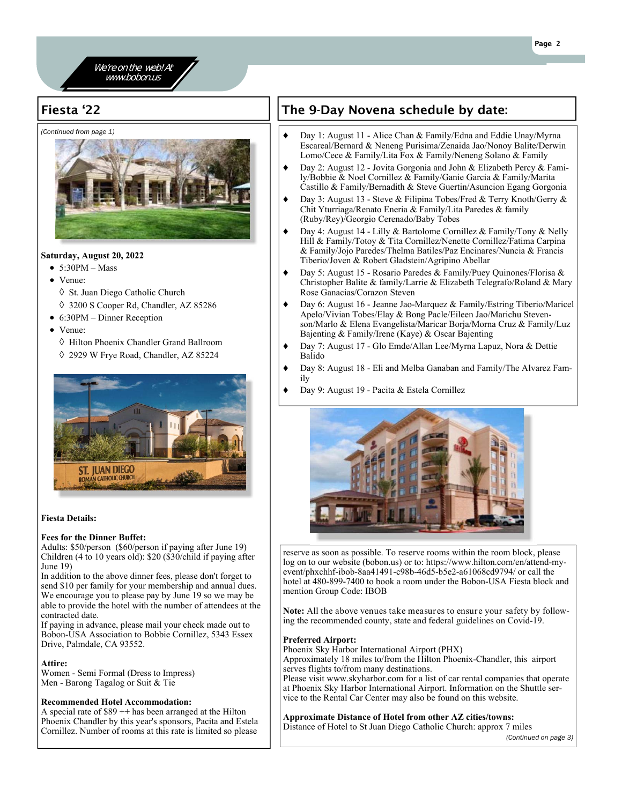

## Fiesta '22

*(Continued from page 1)* 



## **Saturday, August 20, 2022**

- $\bullet$  5:30PM Mass
- Venue:
	- ♦ St. Juan Diego Catholic Church
- 3200 S Cooper Rd, Chandler, AZ 85286
- 6:30PM Dinner Reception
- Venue:
	- Hilton Phoenix Chandler Grand Ballroom 2929 W Frye Road, Chandler, AZ 85224



## **Fiesta Details:**

## **Fees for the Dinner Buffet:**

Adults: \$50/person (\$60/person if paying after June 19) Children (4 to 10 years old): \$20 (\$30/child if paying after June 19)

In addition to the above dinner fees, please don't forget to send \$10 per family for your membership and annual dues. We encourage you to please pay by June 19 so we may be able to provide the hotel with the number of attendees at the contracted date.

If paying in advance, please mail your check made out to Bobon-USA Association to Bobbie Cornillez, 5343 Essex Drive, Palmdale, CA 93552.

## **Attire:**

Women - Semi Formal (Dress to Impress) Men - Barong Tagalog or Suit & Tie

## **Recommended Hotel Accommodation:**

A special rate of \$89 ++ has been arranged at the Hilton Phoenix Chandler by this year's sponsors, Pacita and Estela Cornillez. Number of rooms at this rate is limited so please

# The 9-Day Novena schedule by date:

- ◆ Day 1: August 11 Alice Chan & Family/Edna and Eddie Unay/Myrna Escareal/Bernard & Neneng Purisima/Zenaida Jao/Nonoy Balite/Derwin Lomo/Cece & Family/Lita Fox & Family/Neneng Solano & Family
- Day 2: August 12 Jovita Gorgonia and John & Elizabeth Percy & Family/Bobbie & Noel Cornillez & Family/Ganie Garcia & Family/Marita Castillo & Family/Bernadith & Steve Guertin/Asuncion Egang Gorgonia
- ◆ Day 3: August 13 Steve & Filipina Tobes/Fred & Terry Knoth/Gerry & Chit Yturriaga/Renato Eneria & Family/Lita Paredes & family (Ruby/Rey)/Georgio Cerenado/Baby Tobes
- ◆ Day 4: August 14 Lilly & Bartolome Cornillez & Family/Tony & Nelly Hill & Family/Totoy & Tita Cornillez/Nenette Cornillez/Fatima Carpina & Family/Jojo Paredes/Thelma Batiles/Paz Encinares/Nuncia & Francis Tiberio/Joven & Robert Gladstein/Agripino Abellar
- Day 5: August 15 Rosario Paredes & Family/Puey Quinones/Florisa & Christopher Balite & family/Larrie & Elizabeth Telegrafo/Roland & Mary Rose Ganacias/Corazon Steven
- Day 6: August 16 Jeanne Jao-Marquez & Family/Estring Tiberio/Maricel Apelo/Vivian Tobes/Elay & Bong Pacle/Eileen Jao/Marichu Stevenson/Marlo & Elena Evangelista/Maricar Borja/Morna Cruz & Family/Luz Bajenting & Family/Irene (Kaye) & Oscar Bajenting
- Day 7: August 17 Glo Emde/Allan Lee/Myrna Lapuz, Nora & Dettie Balido
- Day 8: August 18 Eli and Melba Ganaban and Family/The Alvarez Family
- Day 9: August 19 Pacita & Estela Cornillez



reserve as soon as possible. To reserve rooms within the room block, please log on to our website (bobon.us) or to: https://www.hilton.com/en/attend-myevent/phxchhf-ibob-8aa41491-c98b-46d5-b5e2-a61068cd9794/ or call the hotel at 480-899-7400 to book a room under the Bobon-USA Fiesta block and mention Group Code: IBOB

**Note:** All the above venues take measures to ensure your safety by following the recommended county, state and federal guidelines on Covid-19.

## **Preferred Airport:**

Phoenix Sky Harbor International Airport (PHX)

Approximately 18 miles to/from the Hilton Phoenix-Chandler, this airport serves flights to/from many destinations.

Please visit www.skyharbor.com for a list of car rental companies that operate at Phoenix Sky Harbor International Airport. Information on the Shuttle service to the Rental Car Center may also be found on this website.

## **Approximate Distance of Hotel from other AZ cities/towns:**

Distance of Hotel to St Juan Diego Catholic Church: approx 7 miles

*(Continued on page 3)*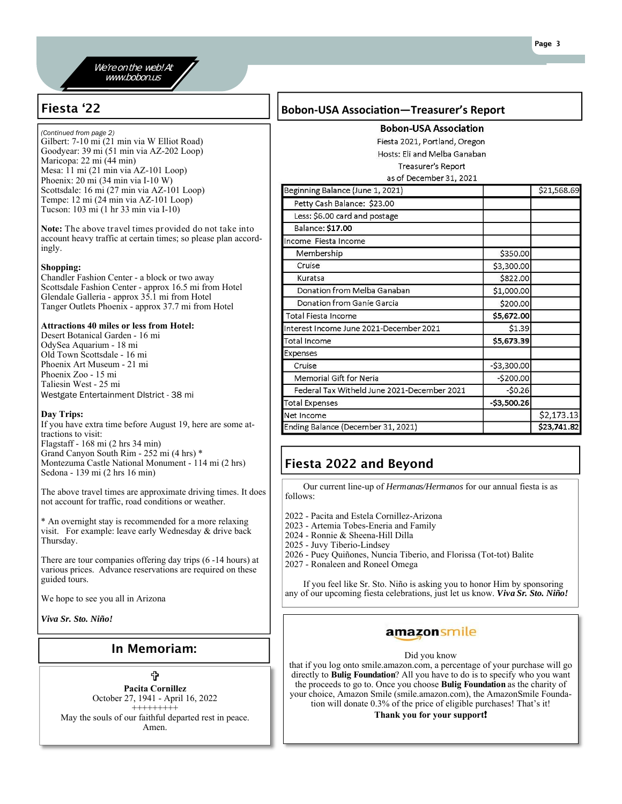## We're on the web! At www.bobon.us

*(Continued from page 2)* 

Gilbert: 7-10 mi (21 min via W Elliot Road) Goodyear: 39 mi (51 min via AZ-202 Loop) Maricopa: 22 mi (44 min) Mesa: 11 mi (21 min via AZ-101 Loop) Phoenix: 20 mi (34 min via I-10 W) Scottsdale: 16 mi (27 min via AZ-101 Loop) Tempe: 12 mi (24 min via AZ-101 Loop) Tucson: 103 mi (1 hr 33 min via I-10)

**Note:** The above travel times provided do not take into account heavy traffic at certain times; so please plan accordingly.

## **Shopping:**

Chandler Fashion Center - a block or two away Scottsdale Fashion Center - approx 16.5 mi from Hotel Glendale Galleria - approx 35.1 mi from Hotel Tanger Outlets Phoenix - approx 37.7 mi from Hotel

## **Attractions 40 miles or less from Hotel:**

Desert Botanical Garden - 16 mi OdySea Aquarium - 18 mi Old Town Scottsdale - 16 mi Phoenix Art Museum - 21 mi Phoenix Zoo - 15 mi Taliesin West - 25 mi Westgate Entertainment DIstrict - 38 mi

## **Day Trips:**

If you have extra time before August 19, here are some attractions to visit: Flagstaff - 168 mi (2 hrs 34 min) Grand Canyon South Rim - 252 mi (4 hrs) \* Montezuma Castle National Monument - 114 mi (2 hrs) Sedona - 139 mi (2 hrs 16 min)

The above travel times are approximate driving times. It does not account for traffic, road conditions or weather.

\* An overnight stay is recommended for a more relaxing visit. For example: leave early Wednesday & drive back Thursday.

There are tour companies offering day trips (6 -14 hours) at various prices. Advance reservations are required on these guided tours.

We hope to see you all in Arizona

*Viva Sr. Sto. Niño!*

## In Memoriam:

⇧ **Pacita Cornillez**  October 27, 1941 - April 16, 2022 +++++++++ May the souls of our faithful departed rest in peace. Amen.

## Fiesta '22 **Bobon-USA Association—Treasurer's Report**

**Bobon-USA Association** 

Fiesta 2021, Portland, Oregon Hosts: Eli and Melba Ganaban Treasurer's Report

## as of December 31, 2021

| Beginning Balance (June 1, 2021)            |              | \$21,568.69 |
|---------------------------------------------|--------------|-------------|
| Petty Cash Balance: \$23.00                 |              |             |
| Less: \$6.00 card and postage               |              |             |
| Balance: \$17.00                            |              |             |
| Income Fiesta Income                        |              |             |
| Membership                                  | \$350.00     |             |
| Cruise                                      | \$3,300.00   |             |
| Kuratsa                                     | \$822.00     |             |
| Donation from Melba Ganaban                 | \$1,000.00   |             |
| Donation from Ganie Garcia                  | \$200.00     |             |
| Total Fiesta Income                         | \$5,672.00   |             |
| Interest Income June 2021-December 2021     | \$1.39       |             |
| Total Income                                | \$5,673.39   |             |
| Expenses                                    |              |             |
| Cruise                                      | $-53,300.00$ |             |
| Memorial Gift for Neria                     | $-5200.00$   |             |
| Federal Tax Witheld June 2021-December 2021 | $-50.26$     |             |
| Total Expenses                              | $-53,500.26$ |             |
| Net Income                                  |              | \$2,173.13  |
| Ending Balance (December 31, 2021)          |              | \$23,741.82 |

# Fiesta 2022 and Beyond

 Our current line-up of *Hermanas/Hermanos* for our annual fiesta is as follows:

2022 - Pacita and Estela Cornillez-Arizona

- 2023 Artemia Tobes-Eneria and Family
- 2024 Ronnie & Sheena-Hill Dilla
- 2025 Juvy Tiberio-Lindsey
- 2026 Puey Quiñones, Nuncia Tiberio, and Florissa (Tot-tot) Balite
- 2027 Ronaleen and Roneel Omega

 If you feel like Sr. Sto. Niño is asking you to honor Him by sponsoring any of our upcoming fiesta celebrations, just let us know. *Viva Sr. Sto. Niño!*

## amazonsmile

## Did you know

that if you log onto smile.amazon.com, a percentage of your purchase will go directly to **Bulig Foundation**? All you have to do is to specify who you want the proceeds to go to. Once you choose **Bulig Foundation** as the charity of your choice, Amazon Smile (smile.amazon.com), the AmazonSmile Foundation will donate 0.3% of the price of eligible purchases! That's it!

## **Thank you for your support**!